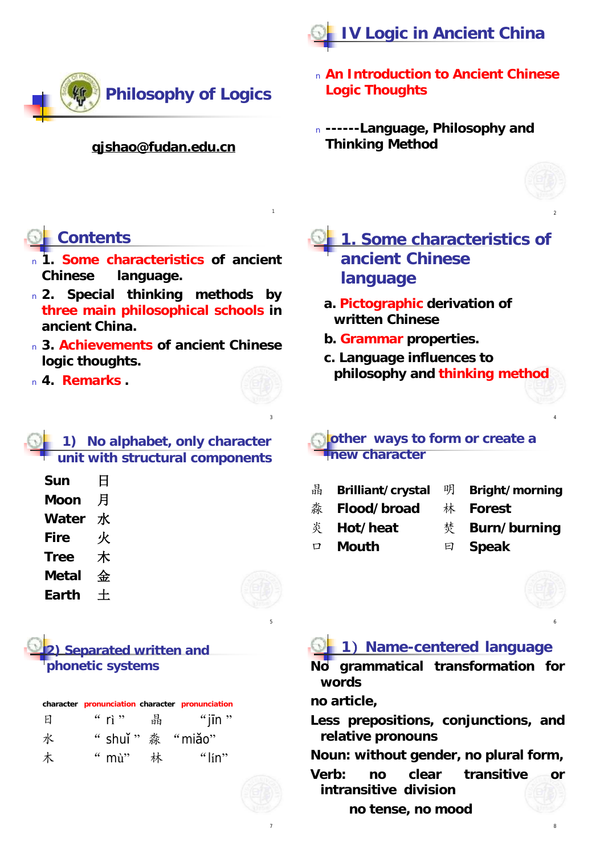



#### **[qjshao@fudan.edu.cn](mailto:qjshao@fudan.edu.cn)**

#### <sup>n</sup> **An Introduction to Ancient Chinese Logic Thoughts**

<sup>n</sup> **------Language, Philosophy and Thinking Method**



2

4

# **Contents**

- <sup>n</sup> **1. Some characteristics of ancient Chinese language.**
- <sup>n</sup> **2. Special thinking methods by three main philosophical schools in ancient China.**
- <sup>n</sup> **3. Achievements of ancient Chinese logic thoughts.**

<sup>n</sup> **4. Remarks .**



3

5

7

1

### **1) No alphabet, only character unit with structural components**

| Sun         | 日 |
|-------------|---|
| Moon        | 月 |
| Water       | 水 |
| Fire        | 火 |
| <b>Tree</b> | 木 |
| Metal       | 金 |
| Earth       |   |

**2) Separated written and phonetic systems**

|   | character pronunciation character pronunciation |                 |
|---|-------------------------------------------------|-----------------|
| Ы | " rì "   晶                                      | $\lq$ iin $\lq$ |
| 水 | " shuǐ $" \&$ "miǎo"                            |                 |
| 木 | " mù" 林                                         | " $\lim$ "      |

## **1. Some characteristics of ancient Chinese language**

- **a. Pictographic derivation of written Chinese**
- **b. Grammar properties.**
- **c. Language influences to philosophy and thinking method**

#### **other ways to form or create a new character**

- 晶 **Brilliant/crystal** 明 **Bright/morning**
- 淼 **Flood/broad** 林 **Forest**
	-
- 炎 **Hot/heat** 焚 **Burn/burning**
- 口 **Mouth** 曰 **Speak**
- 



6

## **1**)**Name-centered language**

**No grammatical transformation for words**

**no article,**

**Less prepositions, conjunctions, and relative pronouns**

**Noun: without gender, no plural form,**

- **Verb: no clear transitive or intransitive division**
	- **no tense, no mood**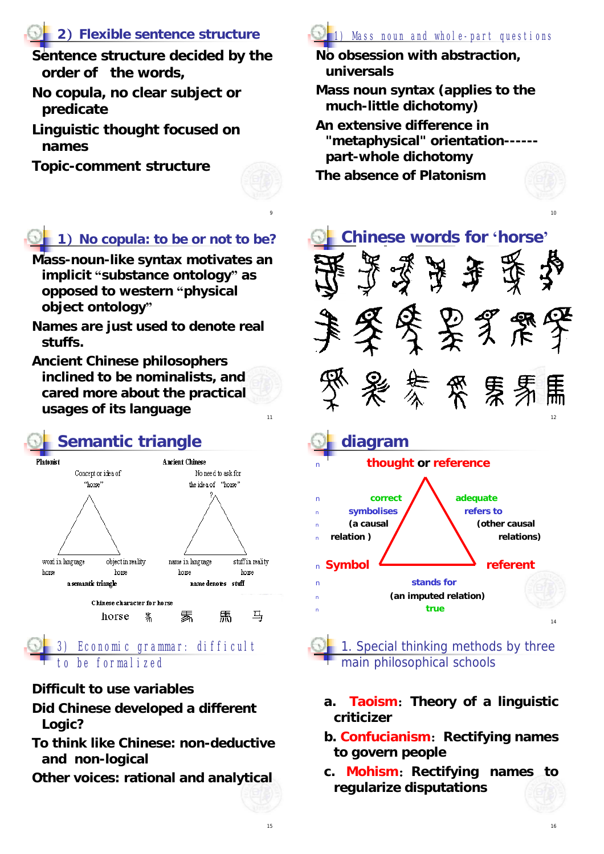## **2**)**Flexible sentence structure**

**Sentence structure decided by the order of the words,** 

- **No copula, no clear subject or predicate**
- **Linguistic thought focused on names**

**Topic-comment structure**



9

11

# **1**)**No copula: to be or not to be?**

- **Mass-noun-like syntax motivates an implicit "substance ontology" as opposed to western "physical object ontology"**
- **Names are just used to denote real stuffs.**
- **Ancient Chinese philosophers inclined to be nominalists, and cared more about the practical usages of its language**



#### Economic grammar: difficult to be formalized

#### **Difficult to use variables**

- **Did Chinese developed a different Logic?**
- **To think like Chinese: non-deductive and non-logical**
- **Other voices: rational and analytical**



**No obsession with abstraction, universals**

- **Mass noun syntax (applies to the much-little dichotomy)**
- **An extensive difference in "metaphysical" orientation----- part-whole dichotomy**
- **The absence of Platonism**





- **a. Taoism**:**Theory of a linguistic criticizer**
- **b. Confucianism**:**Rectifying names to govern people**
- **c. Mohism**:**Rectifying names to regularize disputations**

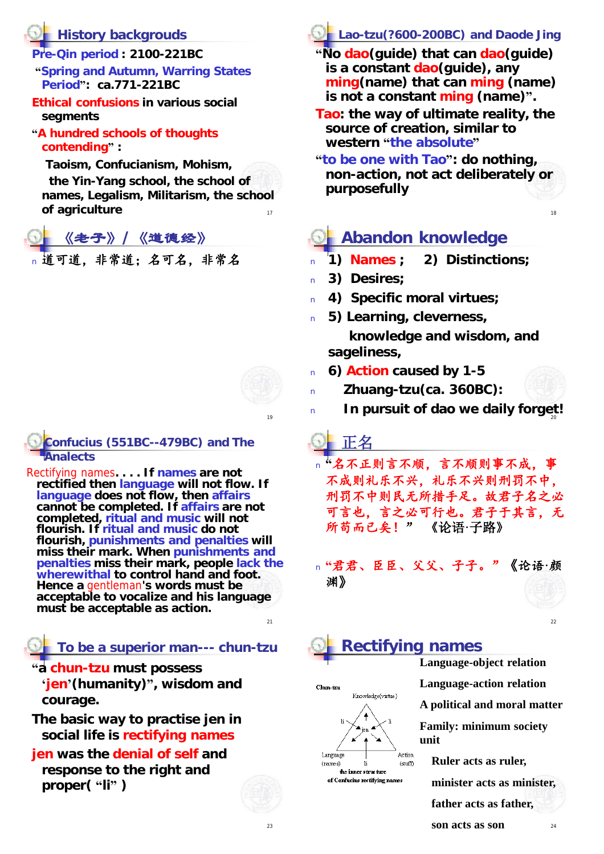## **History backgrouds**

- **Pre-Qin period : 2100-221BC**
- **"Spring and Autumn, Warring States Period": ca.771-221BC**
- **Ethical confusions in various social segments**
- **"A hundred schools of thoughts contending" :**

**Taoism, Confucianism, Mohism,** 

17 **the Yin-Yang school, the school of names, Legalism, Militarism, the school**   $of$  agriculture

《老子》**/**《道德经》 <sup>n</sup> 道可道,非常道;名可名,非常名



10

**Confucius (551BC--479BC) and** *The Analects*

Rectifying names**. . . . If names are not rectified then language will not flow. If language does not flow, then affairs cannot be completed. If affairs are not completed, ritual and music will not flourish. If ritual and music do not flourish, punishments and penalties will miss their mark. When punishments and penalties miss their mark, people lack the wherewithal to control hand and foot. Hence a** gentleman**'s words must be acceptable to vocalize and his language must be acceptable as action.** 

**To be a superior man--- chun-tzu**

**"a chun-tzu must possess 'jen'(humanity)", wisdom and courage.** 

**The basic way to practise jen in social life is rectifying names**

**jen was the denial of self and response to the right and proper( "li" )**

# **Lao-tzu(?600-200BC) and** *Daode Jing*

**"No dao(guide) that can dao(guide) is a constant dao(guide), any ming(name) that can ming (name) is not a constant ming (name)".** 

- **Tao: the way of ultimate reality, the source of creation, similar to western "the absolute"**
- **"to be one with Tao": do nothing, non-action, not act deliberately or purposefully**

# **Abandon knowledge**

- <sup>n</sup> **1) Names ; 2) Distinctions;**
- <sup>n</sup> **3) Desires;**
- <sup>n</sup> **4) Specific moral virtues;**
- <sup>n</sup> **5) Learning, cleverness,** 
	- **knowledge and wisdom, and sageliness,**
- <sup>n</sup> **6) Action caused by 1-5**
- <sup>n</sup> **Zhuang-tzu(ca. 360BC):**
- 20 <sup>n</sup> **In pursuit of dao we daily forget!**

正名

- <sup>n</sup> **"**名不正则言不顺,言不顺则事不成,事 不成则礼乐不兴,礼乐不兴则刑罚不中, 刑罚不中则民无所措手足。故君子名之必 可言也,言之必可行也。君子于其言,无 所苟而已矣!" 《论语**·**子路》
- <sup>n</sup> **"**君君、臣臣、父父、子子。"《论语**·**颜 渊》





#### **Rectifying names Language-object relation**



**Language-action relation A political and moral matter**

**Family: minimum society unit** 

**Ruler acts as ruler,**

**minister acts as minister,** 

**father acts as father,** 

 $21$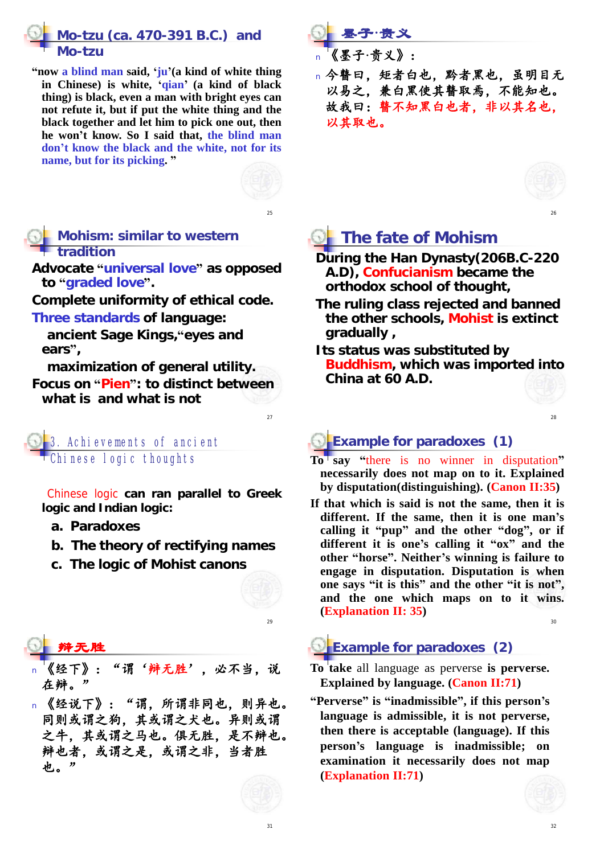## **Mo-tzu (ca. 470-391 B.C.) and**  *Mo-tzu*

**"now a blind man said, 'ju'(a kind of white thing in Chinese) is white, 'qian' (a kind of black thing) is black, even a man with bright eyes can not refute it, but if put the white thing and the black together and let him to pick one out, then he won't know. So I said that, the blind man don't know the black and the white, not for its name, but for its picking. "**



25

 $27$ 

 $29$ 

#### **Mohism: similar to western tradition**

**Advocate "universal love" as opposed to "graded love".**

**Complete uniformity of ethical code. Three standards of language:**

**ancient Sage Kings,"eyes and ears",** 

**maximization of general utility. Focus on "Pien": to distinct between what is and what is not**

3. Achievements of ancient Chinese logic thoughts

Chinese logic **can ran parallel to Greek logic and Indian logic:**

- **a. Paradoxes**
- **b. The theory of rectifying names**
- **c. The logic of Mohist canons**

### 辩无胜

- 《经下》:"谓'辩无胜',必不当,说 在辩。
- n 《经说下》:"谓,所谓非同也,则异也。 同则或谓之狗,其或谓之犬也。异则或谓 之牛,其或谓之马也。俱无胜,是不辩也。 辩也者,或谓之是,或谓之非,当者胜 也。"

<sup>n</sup> 《墨子**·**贵义》: <sup>n</sup> 今瞽曰,矩者白也,黔者黑也,虽明目无 以易之,兼白黑使其瞽取焉,不能知也。 故我曰:瞽不知黑白也者,非以其名也。 以其取也。



## **The fate of Mohism**

墨子**·**贵义

- **During the Han Dynasty(206B.C-220 A.D), Confucianism became the orthodox school of thought,**
- **The ruling class rejected and banned the other schools, Mohist is extinct gradually ,**
- **Its status was substituted by Buddhism, which was imported into China at 60 A.D.**



28

## **Example for paradoxes (1)**

- **To say "**there is no winner in disputation**" necessarily does not map on to it. Explained by disputation(distinguishing). (Canon II:35)**
- **If that which is said is not the same, then it is different. If the same, then it is one man's calling it "pup" and the other "dog", or if different it is one's calling it "ox" and the other "horse". Neither's winning is failure to engage in disputation. Disputation is when one says "it is this" and the other "it is not", and the one which maps on to it wins. (Explanation II: 35)**

 $20<sub>0</sub>$ 

## **Example for paradoxes (2)**

- **To take** all language as perverse **is perverse. Explained by language. (Canon II:71)**
- **"Perverse" is "inadmissible", if this person's language is admissible, it is not perverse, then there is acceptable (language). If this person's language is inadmissible; on examination it necessarily does not map (Explanation II:71)**

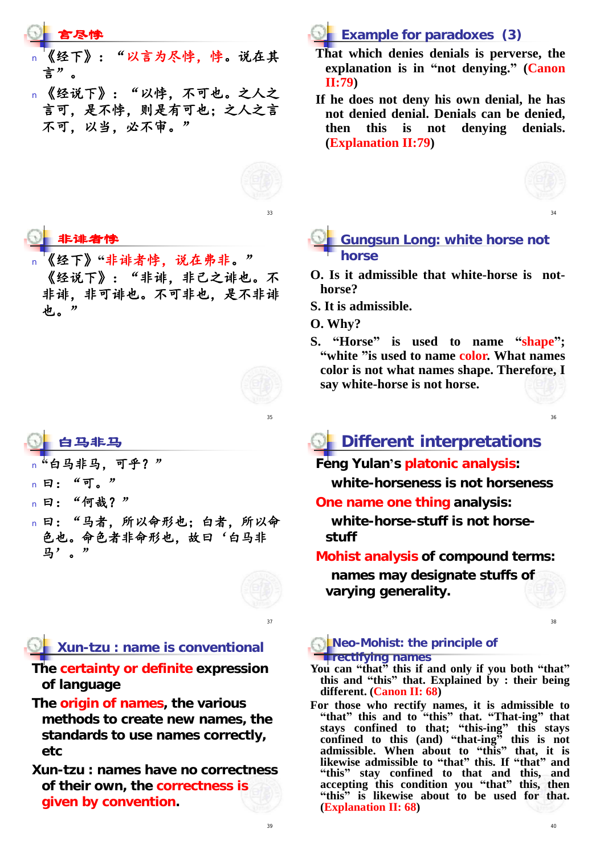### 言尽悖

- 《经下》:"以言为尽悖,悖。说在其 言"。
- n 《经说下》:"以悖,不可也。之人之 言可,是不悖,则是有可也;之人之言 不可,以当,必不审。"



33

### 非诽者悖

<sup>n</sup> 《经下》**"**非诽者悖,说在弗非。" 《经说下》:"非诽,非己之诽也。不 非诽,非可诽也。不可非也,是不非诽 也。"



35

#### 白马非马

- 白马非马. 可乎?"
- n 曰: "可。"
- n 曰: "何哉?"
- <sup>n</sup> 曰:"马者,所以命形也;白者,所以命 色也。命色者非命形也,故曰'白马非 马'。



 $27$ 

## **Xun-tzu : name is conventional**

**The certainty or definite expression of language**

**The origin of names, the various methods to create new names, the standards to use names correctly, etc**

**Xun-tzu : names have no correctness of their own, the correctness is given by convention.**



- **That which denies denials is perverse, the explanation is in "not denying." (Canon II:79)**
- **If he does not deny his own denial, he has not denied denial. Denials can be denied, then this is not denying denials. (Explanation II:79)**



34

#### **Gungsun Long: white horse not horse**

- **O. Is it admissible that white-horse is nothorse?**
- **S. It is admissible.**
- **O. Why?**
- **S. "Horse" is used to name "shape"; "white "is used to name color. What names color is not what names shape. Therefore, I say white-horse is not horse.**

36

# **Different interpretations**

#### **Feng Yulan's platonic analysis:**

**white-horseness is not horseness**

**One name one thing analysis:**

**white-horse-stuff is not horsestuff**

#### **Mohist analysis of compound terms:**

**names may designate stuffs of varying generality.**

38

#### **Neo-Mohist: the principle of rectifying names**

**You can "that" this if and only if you both "that" this and "this" that. Explained by : their being different. (Canon II: 68)**

**For those who rectify names, it is admissible to "that" this and to "this" that. "That-ing" that stays confined to that; "this-ing" this stays confined to this (and) "that-ing" this is not admissible. When about to "this" that, it is likewise admissible to "that" this. If "that" and "this" stay confined to that and this, and accepting this condition you "that" this, then "this" is likewise about to be used for that. (Explanation II: 68)**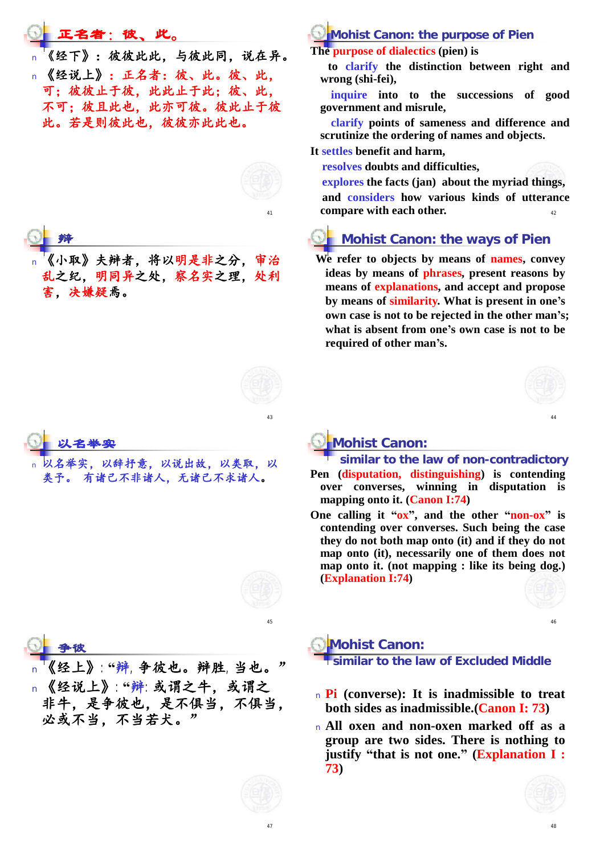#### 正名者:彼、此。

《经下》: 彼彼此此, 与彼此同, 说在异。 <sup>n</sup> 《经说上》:正名者:彼、此。彼、此, 可;彼彼止于彼,此此止于此;彼、此, 不可;彼且此也,此亦可彼。彼此止于彼 此。若是则彼此也,彼彼亦此此也。





《小取》夫辩者,将以明是非之分, 乱之纪,明同异之处,察名实之理,处利 害,决嫌疑焉。



43

45

```
以名举实
```
以辞抒意,以说出故,以类取,以 类予。 有诸己不非诸人,无诸己不求诸人。

#### **Mohist Canon: the purpose of Pien**

**The purpose of dialectics (pien) is**

**to clarify the distinction between right and wrong (shi-fei),**

**inquire into to the successions of good government and misrule,**

**clarify points of sameness and difference and scrutinize the ordering of names and objects.**

#### **It settles benefit and harm,**

**resolves doubts and difficulties,**

 $42$ **explores the facts (jan) about the myriad things, and considers how various kinds of utterance compare with each other.**

## **Mohist Canon: the ways of Pien**

**We refer to objects by means of names, convey ideas by means of phrases, present reasons by means of explanations, and accept and propose by means of similarity. What is present in one's own case is not to be rejected in the other man's; what is absent from one's own case is not to be required of other man's.**



#### **Mohist Canon:**

- **similar to the law of non-contradictory Pen (disputation, distinguishing) is contending over converses, winning in disputation is mapping onto it. (Canon I:74)**
- **One calling it "ox", and the other "non-ox" is contending over converses. Such being the case they do not both map onto (it) and if they do not map onto (it), necessarily one of them does not map onto it. (not mapping : like its being dog.) (Explanation I:74)**



46

### 争彼

<sup>n</sup> 《经上》:**"**辩,争彼也。辩胜,当也。" <sup>n</sup> 《经说上》:**"**辩:或谓之牛,或谓之 非牛,是争彼也,是不俱当,不俱当, 必或不当,不当若犬。"



- <sup>n</sup> **Pi (converse): It is inadmissible to treat both sides as inadmissible.(Canon I: 73)**
- <sup>n</sup> **All oxen and non-oxen marked off as a group are two sides. There is nothing to justify "that is not one." (ExplanationI: 73)**

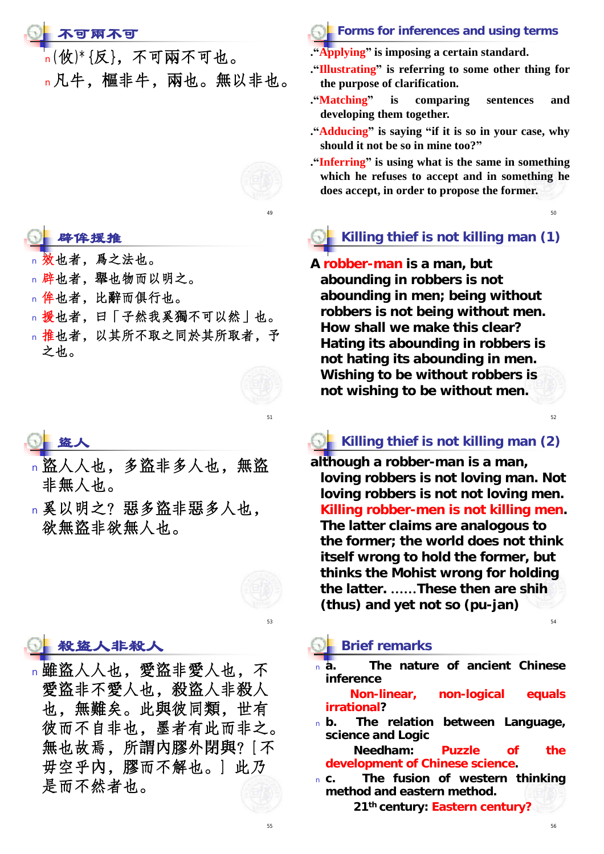## 不可兩不可

n(攸)\*{反},不可兩不可也。 <sup>n</sup>凡牛,樞非牛,兩也。無以非也。



- 辟侔援推
- 也者, 為之法也。
- <sup>n</sup> 辟也者,舉也物而以明之。
- <sup>n</sup> 侔也者,比辭而俱行也。
- <sup>n</sup> 援也者,曰「子然我奚獨不可以然」也。
- <sup>n</sup> 推也者,以其所不取之同於其所取者,予 之也。

51

盜人

- <sup>n</sup> 盜人人也,多盜非多人也,無盜 非無人也。
- n 奚以明之? 惡多盜非惡多人也, 欲無盜非欲無人也。



53

### 殺盜人非殺人

<sup>n</sup> 雖盜人人也,愛盜非愛人也,不 愛盜非不愛人也,殺盜人非殺人 也,無難矣。此與彼同類,世有 彼而不自非也,墨者有此而非之。 無也故焉,所謂內膠外閉與?[不 毋空乎內,膠而不解也。] 此乃 是而不然者也。

- **Forms for inferences and using terms**
- **."Applying" is imposing a certain standard.**
- **."Illustrating" is referring to some other thing for the purpose of clarification.**
- **."Matching" is comparing sentences and developing them together.**
- **."Adducing" is saying "if it is so in your case, why should it not be so in mine too?"**
- **."Inferring" is using what is the same in something which he refuses to accept and in something he does accept, in order to propose the former.**

50

52

54

# **Killing thief is not killing man (1)**

**A robber-man is a man, but abounding in robbers is not abounding in men; being without robbers is not being without men. How shall we make this clear? Hating its abounding in robbers is not hating its abounding in men. Wishing to be without robbers is not wishing to be without men.** 

## **Killing thief is not killing man (2)**

**although a robber-man is a man, loving robbers is not loving man. Not loving robbers is not not loving men. Killing robber-men is not killing men. The latter claims are analogous to the former; the world does not think itself wrong to hold the former, but thinks the Mohist wrong for holding the latter. ……These then are shih (thus) and yet not so (pu-jan)** 

#### **Brief remarks**

<sup>n</sup> **a. The nature of ancient Chinese inference**

**Non-linear, non-logical equals irrational?**

<sup>n</sup> **b. The relation between Language, science and Logic**

**Needham: Puzzle of the development of Chinese science.**

<sup>n</sup> **c. The fusion of western thinking method and eastern method.**

**21th century: Eastern century?**